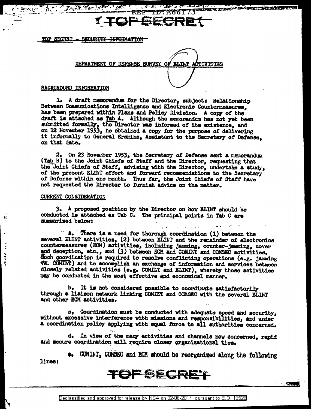# TDTA66173 **REF**

<u> Andrewskie († 1875)</u>

SECURITY INFORMATION **TOP SECRET** 

**FOR PEACH AND** 

 $\mathbb{R}^n$ 

DEPARTMENT OF DEFENSE SURVEY OF ELINT **CTIVITIES** 

## BACKGROUND INFORMATION

1. A draft memorandum for the Director, subject: Relationship Between Communications Intelligence and Electronic Countermeasures, has been prepared within Plans and Policy Division. A copy of the draft is attached as Tab A. Although the memorandum has not yet been submitted formally, the Director was informed of its existence. and on 12 November 1953, he obtained a copy for the purpose of delivering it informally to General Erskine, Assistant to the Secretary of Defense, on that date.

2. On 23 November 1953, the Secretary of Defense sent a memorandum (Tab B) to the Joint Chiefs of Staff and the Director, requesting that the Joint Chiefs of Staff, advising with the Director, undertake a study, of the present ELINT effort and forward recommendations to the Secretary of Defense within one month. Thus far, the Joint Chiefs of Staff have not requested the Director to furnish advice on the matter.

## CURRENT COLSIDERATION

Þ.

 $\ddot{\cdot}$ 

 $\ddot{\bullet}$ 

ţ

3. A proposed position by the Director on how ELINT should be conducted is attached as Tab C. The principal points in Tab C are summarized below:

There is a need for thorough coordination (1) between the several ELINT activities, (2) between ELINT and the remainder of electronics countermeasures (ECM) activities, including jamming, counter-jamming, cover and deception, etc., and (3) between ECM and COMINT and COMSEC activities. Such coordination is required to resolve conflicting operations (e.g. jamming **V3. CONINT)** and to accomplish an exchange of information and services between closely related activities (e.g. COMINT and ELINT), whereby those activities may be conducted in the most effective and economical manner.

It is not considered possible to coordinate satisfactorily b. through a liaison network linking COMINT and COMSEC with the several ELINT and other ECM activities.

C. Goordination must be conducted with adequate speed and security, without excessive interference with missions and responsibilities, and under a coordination policy applying with equal force to all authorities concerned.

d. In view of the many activities and channels now concerned, rapid and secure coordination will require closer organizational ties.

e. CONIAT, COMSEC and ECM should be reorganized along the following lines:

TOPSECRET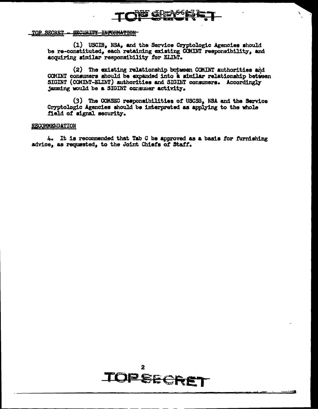

## TOP SECRET - SECURITY INFORMATION

(1) USCIB, NSA, and the Service Cryptologic Agencies should be re-constituted, each retaining existing COMINT responsibility, and acquiring similar responsibility for ELIMT.

(2) The existing relationship between COMINT authorities and COMINT consumers should be expanded into a similar relationship between SIGINT (COMINT-ELINT) authorities and SIGINT consumers. Accordingly jamming would be a SIGINT consumer activity.

(3) The COMSEC responsibilities of USCSB, NSA and the Service Cryptologic Agencies should be interpreted as applying to the whole field of signal security.

## RECOMMENDATION

4. It is recommended that Tab C be approved as a basis for furnishing advice, as requested, to the Joint Chiefs of Staff.

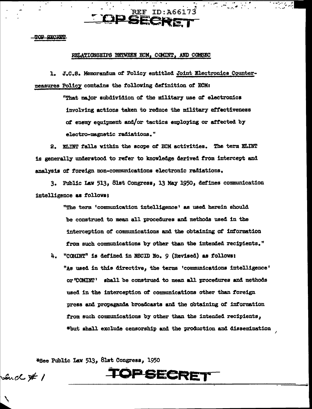**TOP SECRET** 

## RELATIONSHIPS BETWEEN ECM, COMINT, AND COMSEC

**JP SECK!** 

1. J.C.S. Memorandum of Policy entitled Joint Electronics Countermeasures Policy contains the following definition of ECM:

> "That major subdividion of the military use of electronics involving actions taken to reduce the military effectiveness of enemy equipment and/or tactics employing or affected by electro-magnetic radiations."

**REF ID:A66173** 

2. ELINT falls within the scope of ECM activities. The term ELINT is generally understood to refer to knowledge derived from intercept and analysis of foreign non-communications electronic radiations.

3. Public Law 513, 81st Congress, 13 May 1950, defines communication intelligence as follows:

> "The term 'communication intelligence' as used herein should be construed to mean all procedures and methods used in the interception of communications and the obtaining of information from such communications by other than the intended recipients."

4. "COMINT" is defined in NSCID No. 9 (Revised) as follows: "As used in this directive, the terms 'communications intelligence' or "COMINT" shall be construed to mean all procedures and methods used in the interception of communications other than foreign press and propaganda broadcasts and the obtaining of information from such communications by other than the intended recipients, \*but shall exclude censorship and the production and dissemination

\*See Public Law 513, 81st Congress, 1950

**OPSECRET** 

Such  $\cancel{\#}$  /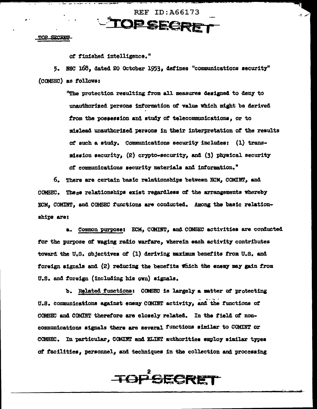TOP SECRET

of finished intelligence."

5. NSC 168, dated 20 October 1953, defines "communications security" (CONSEC) as follows:

**REF ID: A66173** 

TOPSECRET

"The protection resulting from all measures designed to deny to unauthorized persons information of value Which might be derived from the possession and study of telecommunications, or to mislead unauthorized persons in their interpretation of the results of such a study. Communications security includes: (1) transmission security, (2) crypto-security, and (3) physical security of communications security materials and information."

6. There are certain basic relationships between ECM, COMINT, and COMSEC. These relationships exist regardless of the arrangements whereby ECM. COMINT, and COMSEC functions are conducted. Among the basic relationships are:

a. Common purpose: ECM, COMINT, and COMSEC activities are conducted for the purpose of waging radio warfare, wherein each activity contributes toward the U.S. objectives of (1) deriving maximum benefits from U.S. and foreign signals and (2) reducing the benefits which the enemy may gain from U.S. and foreign (including his own) signals.

b. Related functions: COMSEC is largely a matter of protecting U.S. communications against enemy COMINT activity, and the functions of COMSEC and COMINT therefore are closely related. In the field of noncommunications signals there are several functions similar to COMINT or COMSEC. In particular, COMINT and ELINT authorities employ similar types of facilities, personnel, and techniques in the collection and processing

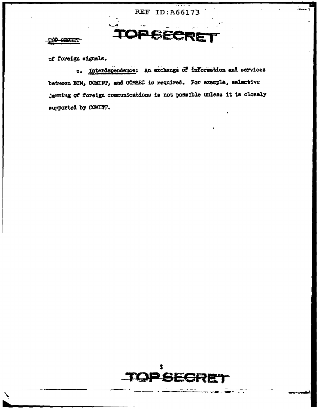**REF ID: A66173** 

PSEC

## <u>TÒP ØRCHET</u>

of foreign signals.

c. Interdependence: An exchange of information and services between ECM, COMINT, and COMSEC is required. For example, selective jamming of foreign communications is not possible unless it is closely supported by COMINT.

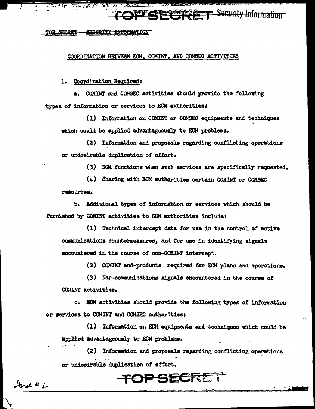**AECURITY INFORMATION** TOP SECRET

## COORDINATION BETWEEN ECM, COMINT, AND COMSEC ACTIVITIES

1. Coordination Required:

a. COMINT and COMSEC activities should provide the following types of information or services to ECM authorities:

(1) Information on COMINT or COMSEC equipments and techniques which could be applied advantageously to ECM problems.

Att A Little and the Charles of the contract of the contract of

**EX CRRECGE REFT Security Information** 

(2) Information and proposals regarding conflicting operations or undesirable duplication of effort.

(3) ECM functions when such services are specifically requested.

(4) Sharing with EGM authorities certain COMINT or COMSEC resources.

b. Additional types of information or services which should be furnished by COMINT activities to ECM authorities include:

(1) Technical intercept data for use in the control of active communications countermeasures, and for use in identifying signals encountered in the course of non-COMINT intercept.

(2) COMINT end-products required for ECM plans and operations.

(3) Non-communications signals encountered in the course of COMINT activities.

c. ECM activities should provide the following types of information or services to COMINT and COMSEC authorities:

(1) Information on ECM equipments and techniques which could be applied advantageously to EGM problems.

(2) Information and proposals regarding conflicting operations or undesirable duplication of effort.

**TOP SECRET** 

Inal # L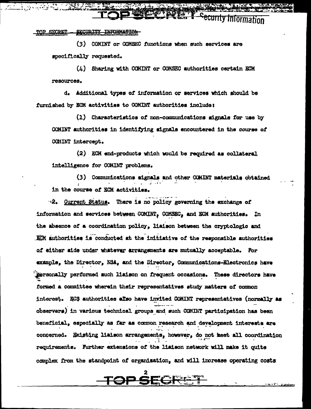ecurity Information

SECURITY INFORMATION TOP SECRET

> (3) COMINT or COMSEC functions when such services are specifically requested.

**11.** 

**PERT** 

 $(L)$  Sharing with COMINT or COMSEC authorities certain ECM resources.

d. Additional types of information or services which should be furnished by ECM activities to COMINT authorities include:

(1) Characteristics of non-communications signals for use by COMINT authorities in identifying signals encountered in the course of COMINT intercept.

(2) ECM end-products which would be required as collateral intelligence for COMINT problems.

(3) Communications signals and other COMINT materials obtained in the course of ECM activities.

2. Current Status. There is no policy governing the exchange of information and services between COMINT, COMSEC, and ECM authorities. In the absence of a coordination policy, liaison between the cryptologic and ECM authorities is conducted at the initiative of the responsible authorities of either side under whatever arrangements are mutually acceptable. For example, the Director, NSA, and the Director, Communications-Electronics have Rersonally performed such liaison on frequent occasions. These directors have formed a committee wherein their representatives study matters of common interest. ECS authorities also have invited COMINT representatives (normally as observers) in various technical groups and such COMINT participation has been beneficial, especially as far as common research and development interests are concerned. Existing liaison arrangements, however, do not meet all coordination requirements. Further extensions of the liaison network will make it quite complex from the standpoint of organisation, and will increase operating costs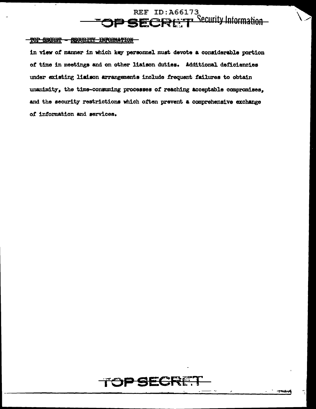

## TOP SECRET - SEQURITY INFORMATION -

in view of manner in which key personnel must devote a considerable portion of time in meetings and on other liaison duties. Additional deficiencies under existing lisison arrangements include frequent failures to obtain unanimity, the time-consuming processes of reaching acceptable compromises, and the security restrictions which often prevent a comprehensive exchange of information and services.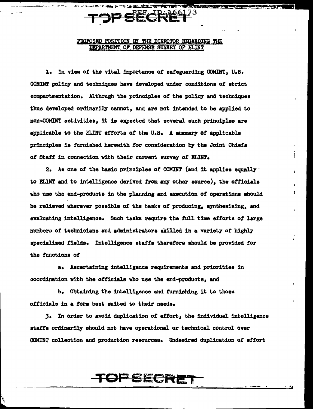# PSECRE

-<br>センコ・マノロンス・マンMay 3、ピリ・公分2、特性をご提

## PROPOSED POSITION BY THE DIRECTOR RECARDING THE DEPARTMENT OF DEFENSE SURVEY OF ELINT

**COMPANY REPORT OF A PROPERTY AND INCOME.** 

1. In view of the vital importance of safeguarding COMINT, U.S. COMINT policy and techniques have developed under conditions of strict compartmentation. Although the principles of the policy and techniques thus developed ordinarily cannot, and are not intended to be applied to non-COMINT activities, it is expected that several such principles are applicable to the ELINT efforts of the U.S. A summary of applicable principles is furnished herewith for consideration by the Joint Chiefs of Staff in connection with their current survey of ELINT.

2. As one of the basic principles of COMINT (and it applies equally  $\cdot$ to ELINT and to intelligence derived from any other source), the officials who use the end-products in the planning and execution of operations should be relieved wherever possible of the tasks of producing, synthesising, and evaluating intelligence. Such tasks require the full time efforts of large numbers of technicians and administrators skilled in a variety of highly specialized fields. Intelligence staffs therefore should be provided for the functions of

a. Ascertaining intelligence requirements and priorities in coordination with the officials who use the end-products, and

b. Obtaining the intelligence and furnishing it to those officials in a form best suited to their needs.

3. In order to avoid duplication of effort, the individual intelligence staffs ordinarily should not have operational or technical control over COMINT collection and production resources. Undesired duplication of effort

# FSECRE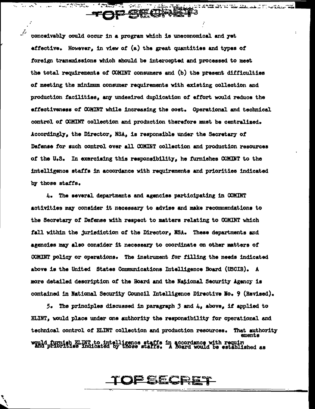conceivably could occur in a program which is uneconomical and yet effective. However, in view of (a) the great quantities and types of foreign transmissions which should be intercepted and processed to meet the total requirements of COMINT consumers and (b) the present difficulties of meeting the minimum consumer requirements with existing collection and production facilities, any undesired duplication of effort would reduce the effectiveness of COMINT while increasing the cost. Operational and technical control of COMINT collection and production therefore must be centralized. Accordingly, the Director, NSA, is responsible under the Secretary of Defense for such control over all COMINT collection and production resources of the U.S. In exercising this responsibility, he furnishes COMINT to the intelligence staffs in accordance with requirements and priorities indicated by those staffs.

**JP SECNAL!** 

**A MARKETING SERVICE** 

n an 'e groepen tysk yn troch fan 'e troch troch in de staan mear.<br>Als yn y fel waar yn 'e troch fel fel an de staan de staan fan 'e troch gebied yn 1928.

4. The several departments and agencies participating in COMINT activities may consider it necessary to advise and make recommendations to the Secretary of Defense with respect to matters relating to COMINT which fall within the jurisdiction of the Director, NSA. These departments and agencies may also consider it necessary to coordinate on other matters of COMINT policy or operations. The instrument for filling the needs indicated above is the United States Communications Intelligence Board (USCIB). A more detailed description of the Board and the National Security Agency is contained in National Security Council Intelligence Directive No. 9 (Revised).

5. The principles discussed in paragraph 3 and  $4$ , above, if applied to ELINT, would place under one authority the responsibility for operational and technical control of ELINT collection and production resources. That authority ements would furnish ELINT to intelligence staffs in accordance with require and priorities indicated by those staffs. A Board would be established as

## OPSECRET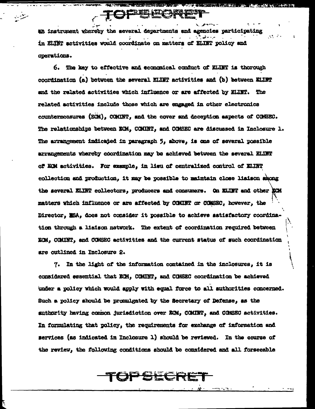an instrument whereby the several departments and agencies participating in ELTMT activities would coordinate on matters of ELTMT policy and operations.

6. The key to effective and economical conduct of KLINT is thorough coordination (a) between the several ELIMT activities and (b) between ELIMT and the ralated activities which influence or are affected by ELINT. The related activities include those which are engaged in other electronics countermeasures (ECM). COMINT. and the cover and deception aspects of COMSEC. The relationships between ECM, COMINT, and COMSEC are discussed in Inclosure 1. The arrangement indicated in paragraph 5, above, is one of several possible arrangements whereby coordination may be achieved between the several ELINT of ECM activities. For example, in lieu of centralized control of ELINT collection and production. it may be possible to maintain close liaison shong the several ELIRT collectors, producers and consumers. On ELINT and other RCM matters which influence or are affected by COMINT or COMSEC, however, the Director. NSA. does not consider it possible to achieve satisfactory coordination through a liaison natwork. The extent of coordination required between ECM. COMINT, and COMSEC activities and the current status of such coordination are outlined in Inclosure 2.

7. In the light of the information contained in the inclosures, it is considered essential that ECM, COMINT, and COMSEC coordination be achieved under a policy which would apply with equal force to all authorities concerned. Such a policy should be promulgated by the Secretary of Defense, as the suthority having common jurisdiction over ECM, COMINT, and COMSEC activities. In formulating that policy, the requirements for exchange of information and services (as indicated in Inclosure 1) should be reviewed. In the course of the review, the following conditions should be considered and all forseeable

# OPSECRE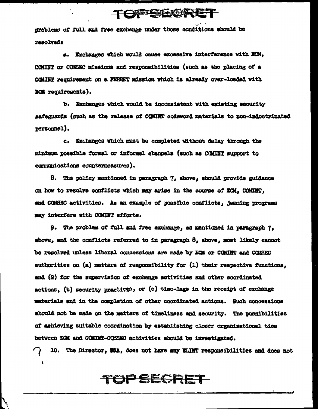# TONDESDENGON ET

problems of full and free exchange under those conditions should be resolved:

a. Exchanges which would cause excessive interference with ECM. COMINT or COMSEC missions and responsibilities (such as the placing of a COMINT requirement on a FERRET mission which is already over-loaded with ECM requirements).

b. Exchanges which would be inconsistent with existing security safeguards (such as the release of COMINT codeword materials to non-indoctrinated personnel).

c. Exchanges which must be completed without delay through the minimum possible formal or informal channels (such as COMINT support to communications countermeasures).

8. The policy mentioned in paragraph 7, above, should provide guidance on how to resolve conflicts which may arise in the course of ECM. COMINT. and COMSEC activities. As an example of possible conflicts, jamming programs may interfere with COMINT efforts.

9. The problem of full and free exchange, as mentioned in paragraph 7, above, and the conflicts referred to in paragraph 8, above, most likely cannot be resolved unless liberal concessions are made by ECM or COMINT and COMSEC authorities on (a) matters of responsibility for  $(1)$  their respective functions, and (2) for the supervision of exchange activities and other coordinated actions, (b) security practices, or (c) time-lags in the receipt of exchange materials and in the completion of other coordinated actions. Such concessions should not be made on the matters of timeliness and security. The possibilities of achieving suitable coordination by establishing closer organizational ties between ECM and COMINT-COMBEC activities should be investigated.

10. The Director, NSA, does not have any KLINT responsibilities and does not

# TOP SECRET

 $\mathbf{L}$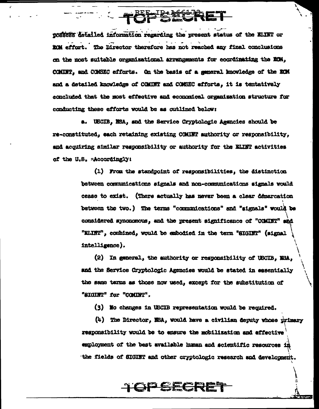

possess detailed information regarding the present status of the ELINT or ECM effort. The Director therefore has not reached any final conclusions on the most suitable organizational arrangements for coordinating the ECM, COMINT, and COMSEC efforts. On the basis of a seneral knowledge of the ECM and a detailed knowledge of COMINT and COMSEC efforts, it is tentatively concluded that the most effective and economical organization structure for conducting these efforts would be as outlined below:

a. USCIB, NSA, and the Service Cryptologic Agencies should be re-constituted, each retaining existing COMINT authority or responsibility, and acquiring similar responsibility or authority for the KLINT activities of the U.S. adcordingly:

> (1) From the standpoint of responsibilities, the distinction between communications signals and non-communications signals would cease to exist. (There actually has never been a clear demarcation between the two.) The terms "communications" and "signals" would be considered synonomous, and the present significance of "COMINT" and "ELINT", combined, would be embodied in the term "SIGINT" (signal intelligence).

> (2) In general, the authority or responsibility of USCIB, NSA, and the Service Cryptologic Agencies would be stated in essentially the same terms as those now used, except for the substitution of "SIGINT" for "COMINT".

(3) No changes in USCIB representation would be required.

(4) The Director, NSA, would have a civilian deputy whose primary responsibility would be to ensure the mobilization and effective employment of the best available human and scientific resources in the fields of SIGINT and other cryptologic research and development.

<del>TOPSECRET</del>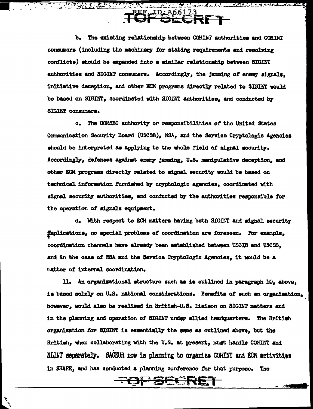b. The existing relationship between COMINT authorities and COMINT consumers (including the machinery for stating requirements and resolving conflicts) should be expanded into a similar relationship between SIGINT authorities and SIGINT consumers. Accordingly, the jamming of enemy signals, initiative deception, and other ECM programs directly related to SIGINT would be based on SIGINT, coordinated with SIGINT authorities, and conducted by SIGINT consumers.

**TUE CRET** 

c. The COMSEC authority or responsibilities of the United States Communication Security Board (USCSB), NSA, and the Service Cryptologic Agencies should be interpreted as applying to the whole field of signal security. Accordingly, defenses against enemy jamming, U.S. manipulative deception, and other ECM programs directly related to signal security would be based on technical information furnished by cryptologic agancies, coordinated with signal security authorities, and conducted by the authorities responsible for the operation of signals equipment.

d. With respect to ECM matters having both SIGINT and signal security faplications, no special problems of coordination are foreseen. For example. coordination channels have already been established between USCIB and USCSB. and in the case of NSA and the Service Cryptologic Agencies. it would be a matter of internal coordination.

11. An organisational structure such as is outlined in paragraph 10. above. is based solely on U.S. national considerations. Benefits of such an organisation. however, would also be realised in British-U.S. liaison on SIGINT matters and in the planning and operation of SIGINT under allied headquarters. The British organisation for SIGINT is essentially the same as outlined above, but the British, when collaborating with the U.S. at present, must handle COMINT and ELINT separately. SACEUR how is planning to organize COMINT and ECM activities in SHAPE, and has conducted a planning conference for that purpose. The